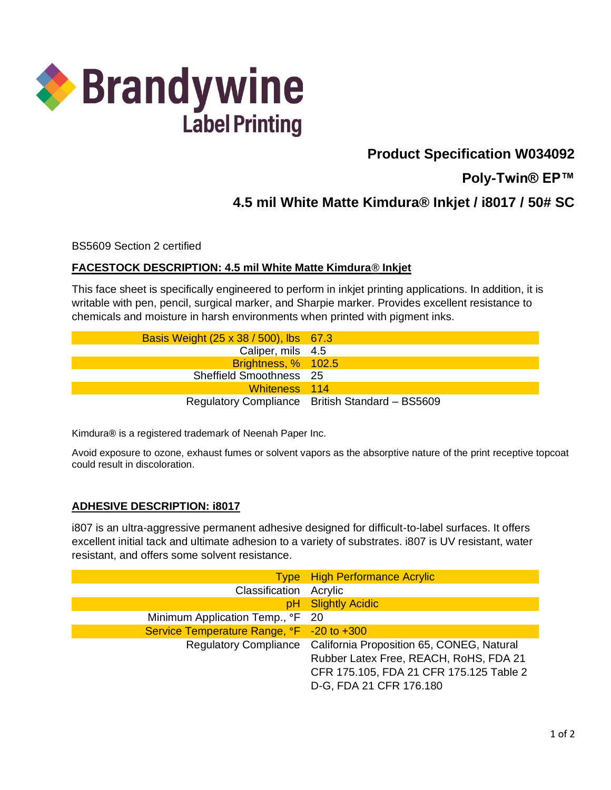

# **Product Specification W034092**

**Poly-Twin® EP™**

## **4.5 mil White Matte Kimdura® Inkjet / i8017 / 50# SC**

BS5609 Section 2 certified

#### **FACESTOCK DESCRIPTION: 4.5 mil White Matte Kimdura® Inkjet**

This face sheet is specifically engineered to perform in inkjet printing applications. In addition, it is writable with pen, pencil, surgical marker, and Sharpie marker. Provides excellent resistance to chemicals and moisture in harsh environments when printed with pigment inks.

| Basis Weight (25 x 38 / 500), lbs 67.3 |                                                 |
|----------------------------------------|-------------------------------------------------|
| Caliper, mils 4.5                      |                                                 |
| Brightness, % 102.5                    |                                                 |
| Sheffield Smoothness 25                |                                                 |
| Whiteness 114                          |                                                 |
|                                        | Regulatory Compliance British Standard - BS5609 |

Kimdura**®** is a registered trademark of Neenah Paper Inc.

Avoid exposure to ozone, exhaust fumes or solvent vapors as the absorptive nature of the print receptive topcoat could result in discoloration.

#### **ADHESIVE DESCRIPTION: i8017**

i807 is an ultra-aggressive permanent adhesive designed for difficult-to-label surfaces. It offers excellent initial tack and ultimate adhesion to a variety of substrates. i807 is UV resistant, water resistant, and offers some solvent resistance.

|                                           | <b>Type</b> High Performance Acrylic                                                                                                                                            |
|-------------------------------------------|---------------------------------------------------------------------------------------------------------------------------------------------------------------------------------|
| Classification Acrylic                    |                                                                                                                                                                                 |
|                                           | pH Slightly Acidic                                                                                                                                                              |
| Minimum Application Temp., °F 20          |                                                                                                                                                                                 |
| Service Temperature Range, °F -20 to +300 |                                                                                                                                                                                 |
|                                           | Regulatory Compliance California Proposition 65, CONEG, Natural<br>Rubber Latex Free, REACH, RoHS, FDA 21<br>CFR 175.105, FDA 21 CFR 175.125 Table 2<br>D-G, FDA 21 CFR 176.180 |